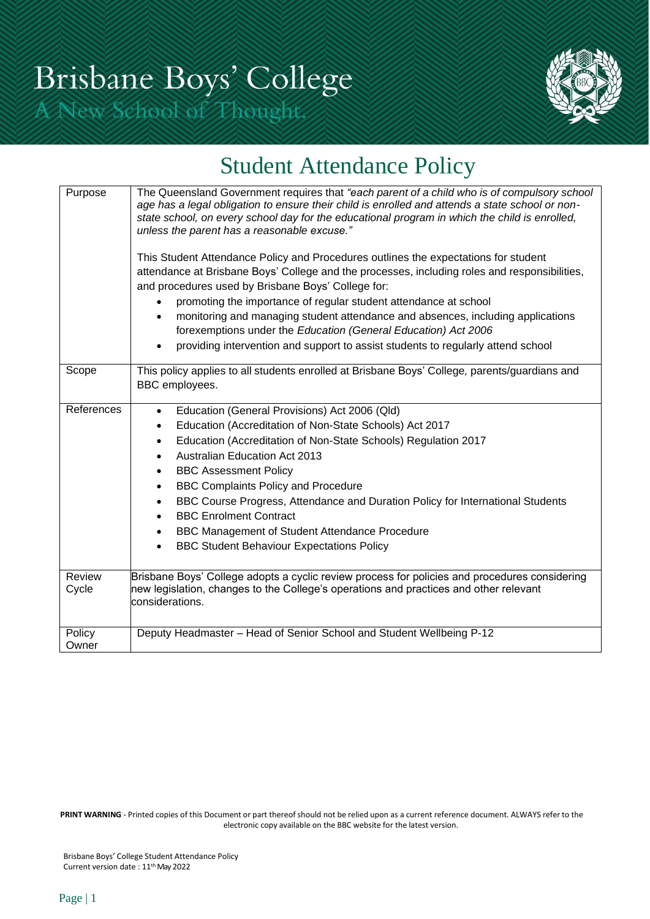

# Student Attendance Policy

| Purpose         | The Queensland Government requires that "each parent of a child who is of compulsory school<br>age has a legal obligation to ensure their child is enrolled and attends a state school or non-<br>state school, on every school day for the educational program in which the child is enrolled,<br>unless the parent has a reasonable excuse."<br>This Student Attendance Policy and Procedures outlines the expectations for student<br>attendance at Brisbane Boys' College and the processes, including roles and responsibilities,<br>and procedures used by Brisbane Boys' College for:<br>promoting the importance of regular student attendance at school<br>monitoring and managing student attendance and absences, including applications<br>forexemptions under the Education (General Education) Act 2006<br>providing intervention and support to assist students to regularly attend school |  |  |  |  |  |
|-----------------|-----------------------------------------------------------------------------------------------------------------------------------------------------------------------------------------------------------------------------------------------------------------------------------------------------------------------------------------------------------------------------------------------------------------------------------------------------------------------------------------------------------------------------------------------------------------------------------------------------------------------------------------------------------------------------------------------------------------------------------------------------------------------------------------------------------------------------------------------------------------------------------------------------------|--|--|--|--|--|
| Scope           | This policy applies to all students enrolled at Brisbane Boys' College, parents/guardians and<br>BBC employees.                                                                                                                                                                                                                                                                                                                                                                                                                                                                                                                                                                                                                                                                                                                                                                                           |  |  |  |  |  |
| References      | Education (General Provisions) Act 2006 (Qld)<br>$\bullet$<br>Education (Accreditation of Non-State Schools) Act 2017<br>$\bullet$<br>Education (Accreditation of Non-State Schools) Regulation 2017<br>$\bullet$<br><b>Australian Education Act 2013</b><br>$\bullet$<br><b>BBC Assessment Policy</b><br>$\bullet$<br><b>BBC Complaints Policy and Procedure</b><br>$\bullet$<br>BBC Course Progress, Attendance and Duration Policy for International Students<br>$\bullet$<br><b>BBC Enrolment Contract</b><br>BBC Management of Student Attendance Procedure<br><b>BBC Student Behaviour Expectations Policy</b>                                                                                                                                                                                                                                                                                      |  |  |  |  |  |
| Review<br>Cycle | Brisbane Boys' College adopts a cyclic review process for policies and procedures considering<br>new legislation, changes to the College's operations and practices and other relevant<br>considerations.                                                                                                                                                                                                                                                                                                                                                                                                                                                                                                                                                                                                                                                                                                 |  |  |  |  |  |
| Policy<br>Owner | Deputy Headmaster - Head of Senior School and Student Wellbeing P-12                                                                                                                                                                                                                                                                                                                                                                                                                                                                                                                                                                                                                                                                                                                                                                                                                                      |  |  |  |  |  |

**PRINT WARNING** - Printed copies of this Document or part thereof should not be relied upon as a current reference document. ALWAYS refer to the electronic copy available on the BBC website for the latest version.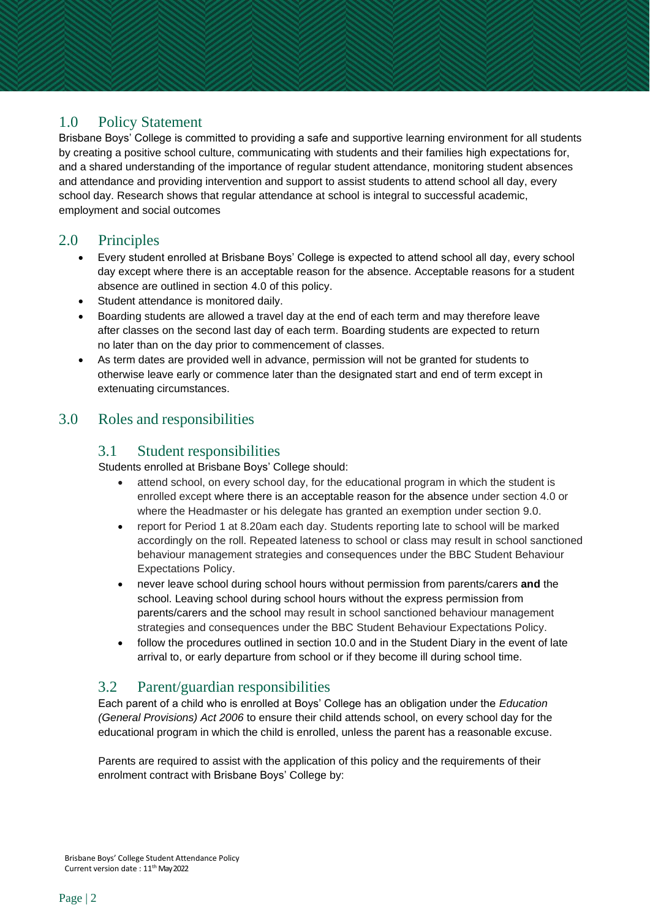# 1.0 Policy Statement

Brisbane Boys' College is committed to providing a safe and supportive learning environment for all students by creating a positive school culture, communicating with students and their families high expectations for, and a shared understanding of the importance of regular student attendance, monitoring student absences and attendance and providing intervention and support to assist students to attend school all day, every school day. Research shows that regular attendance at school is integral to successful academic, employment and social outcomes

## 2.0 Principles

- Every student enrolled at Brisbane Boys' College is expected to attend school all day, every school day except where there is an acceptable reason for the absence. Acceptable reasons for a student absence are outlined in section 4.0 of this policy.
- Student attendance is monitored daily.
- Boarding students are allowed a travel day at the end of each term and may therefore leave after classes on the second last day of each term. Boarding students are expected to return no later than on the day prior to commencement of classes.
- As term dates are provided well in advance, permission will not be granted for students to otherwise leave early or commence later than the designated start and end of term except in extenuating circumstances.

## 3.0 Roles and responsibilities

#### 3.1 Student responsibilities

Students enrolled at Brisbane Boys' College should:

- attend school, on every school day, for the educational program in which the student is enrolled except where there is an acceptable reason for the absence under section 4.0 or where the Headmaster or his delegate has granted an exemption under section 9.0.
- report for Period 1 at 8.20am each day. Students reporting late to school will be marked accordingly on the roll. Repeated lateness to school or class may result in school sanctioned behaviour management strategies and consequences under the BBC Student Behaviour Expectations Policy.
- never leave school during school hours without permission from parents/carers **and** the school. Leaving school during school hours without the express permission from parents/carers and the school may result in school sanctioned behaviour management strategies and consequences under the BBC Student Behaviour Expectations Policy.
- follow the procedures outlined in section 10.0 and in the Student Diary in the event of late arrival to, or early departure from school or if they become ill during school time.

## 3.2 Parent/guardian responsibilities

Each parent of a child who is enrolled at Boys' College has an obligation under the *Education (General Provisions) Act 2006* to ensure their child attends school, on every school day for the educational program in which the child is enrolled, unless the parent has a reasonable excuse.

Parents are required to assist with the application of this policy and the requirements of their enrolment contract with Brisbane Boys' College by: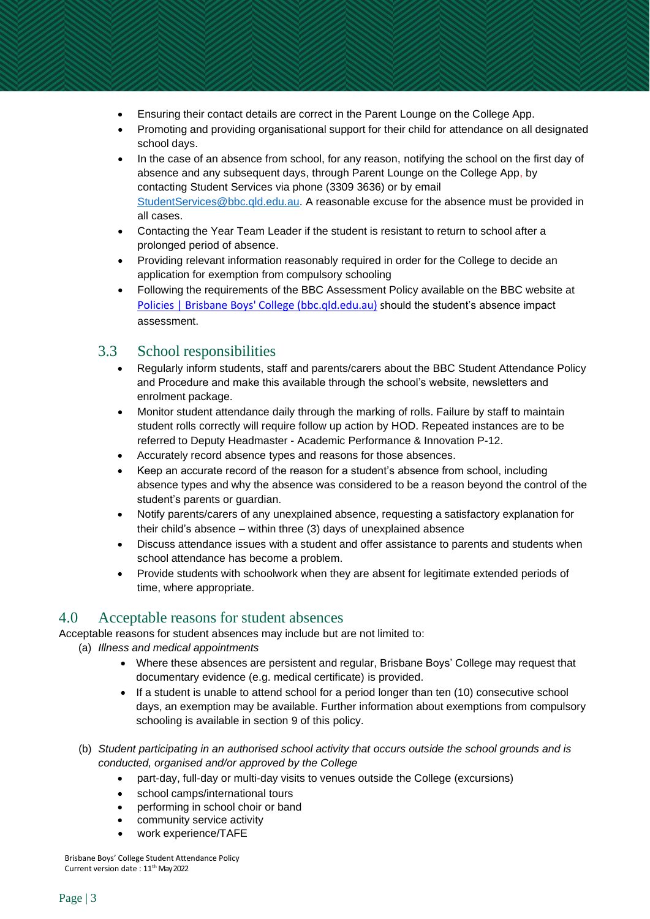- Ensuring their contact details are correct in the Parent Lounge on the College App.
- Promoting and providing organisational support for their child for attendance on all designated school days.
- In the case of an absence from school, for any reason, notifying the school on the first day of absence and any subsequent days, through Parent Lounge on the College App, by contacting Student Services via phone (3309 3636) or by email [StudentServices@bbc.qld.edu.au.](mailto:StudentServices@bbc.qld.edu.au) A reasonable excuse for the absence must be provided in all cases.
- Contacting the Year Team Leader if the student is resistant to return to school after a prolonged period of absence.
- Providing relevant information reasonably required in order for the College to decide an application for exemption from compulsory schooling
- Following the requirements of the BBC Assessment Policy available on the BBC website at [Policies | Brisbane Boys' College \(bbc.qld.edu.au\)](https://www.bbc.qld.edu.au/community/policies/) should the student's absence impact assessment.

## 3.3 School responsibilities

- Regularly inform students, staff and parents/carers about the BBC Student Attendance Policy and Procedure and make this available through the school's website, newsletters and enrolment package.
- Monitor student attendance daily through the marking of rolls. Failure by staff to maintain student rolls correctly will require follow up action by HOD. Repeated instances are to be referred to Deputy Headmaster - Academic Performance & Innovation P-12.
- Accurately record absence types and reasons for those absences.
- Keep an accurate record of the reason for a student's absence from school, including absence types and why the absence was considered to be a reason beyond the control of the student's parents or guardian.
- Notify parents/carers of any unexplained absence, requesting a satisfactory explanation for their child's absence – within three (3) days of unexplained absence
- Discuss attendance issues with a student and offer assistance to parents and students when school attendance has become a problem.
- Provide students with schoolwork when they are absent for legitimate extended periods of time, where appropriate.

## 4.0 Acceptable reasons for student absences

Acceptable reasons for student absences may include but are not limited to:

- (a) *Illness and medical appointments*
	- Where these absences are persistent and regular, Brisbane Boys' College may request that documentary evidence (e.g. medical certificate) is provided.
	- If a student is unable to attend school for a period longer than ten (10) consecutive school days, an exemption may be available. Further information about exemptions from compulsory schooling is available in section 9 of this policy.
- (b) *Student participating in an authorised school activity that occurs outside the school grounds and is conducted, organised and/or approved by the College*
	- part-day, full-day or multi-day visits to venues outside the College (excursions)
	- school camps/international tours
	- performing in school choir or band
	- community service activity
	- work experience/TAFE

Brisbane Boys' College Student Attendance Policy Current version date : 11 th May 2022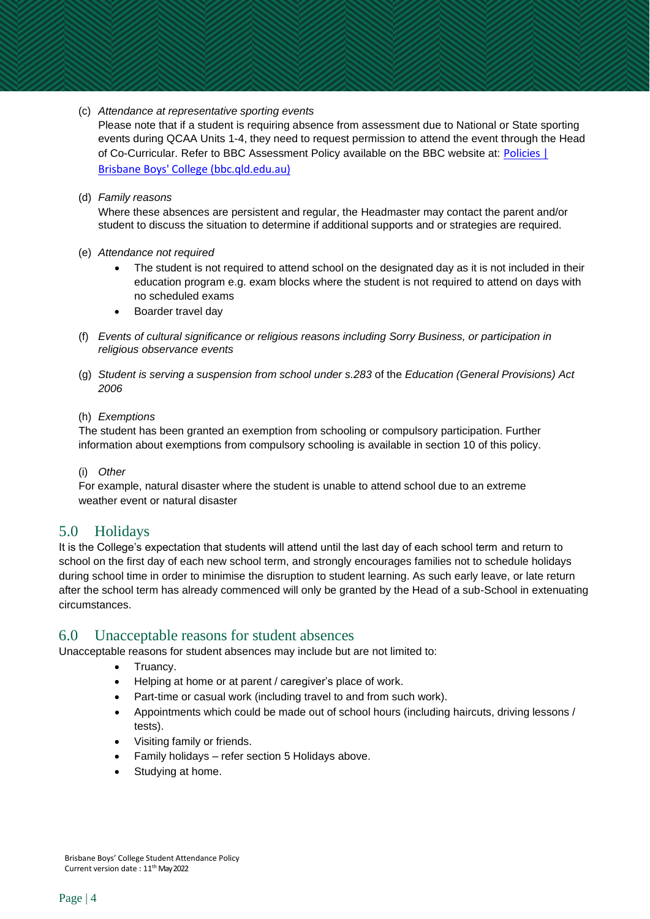(c) *Attendance at representative sporting events*

Please note that if a student is requiring absence from assessment due to National or State sporting events during QCAA Units 1-4, they need to request permission to attend the event through the Head of Co-Curricular. Refer to BBC Assessment Policy available on the BBC website at: [Policies](https://www.bbc.qld.edu.au/community/policies/) | Brisbane Boys' College [\(bbc.qld.edu.au\)](https://www.bbc.qld.edu.au/community/policies/)

#### (d) *Family reasons*

Where these absences are persistent and regular, the Headmaster may contact the parent and/or student to discuss the situation to determine if additional supports and or strategies are required.

- (e) *Attendance not required*
	- The student is not required to attend school on the designated day as it is not included in their education program e.g. exam blocks where the student is not required to attend on days with no scheduled exams
	- Boarder travel day
- (f) *Events of cultural significance or religious reasons including Sorry Business, or participation in religious observance events*
- (g) *Student is serving a suspension from school under s.283* of the *Education (General Provisions) Act 2006*
- (h) *Exemptions*

The student has been granted an exemption from schooling or compulsory participation. Further information about exemptions from compulsory schooling is available in section 10 of this policy.

#### (i) *Other*

For example, natural disaster where the student is unable to attend school due to an extreme weather event or natural disaster

#### 5.0 Holidays

It is the College's expectation that students will attend until the last day of each school term and return to school on the first day of each new school term, and strongly encourages families not to schedule holidays during school time in order to minimise the disruption to student learning. As such early leave, or late return after the school term has already commenced will only be granted by the Head of a sub-School in extenuating circumstances.

#### 6.0 Unacceptable reasons for student absences

Unacceptable reasons for student absences may include but are not limited to:

- Truancy.
- Helping at home or at parent / caregiver's place of work.
- Part-time or casual work (including travel to and from such work).
- Appointments which could be made out of school hours (including haircuts, driving lessons / tests).
- Visiting family or friends.
- Family holidays refer section 5 Holidays above.
- Studying at home.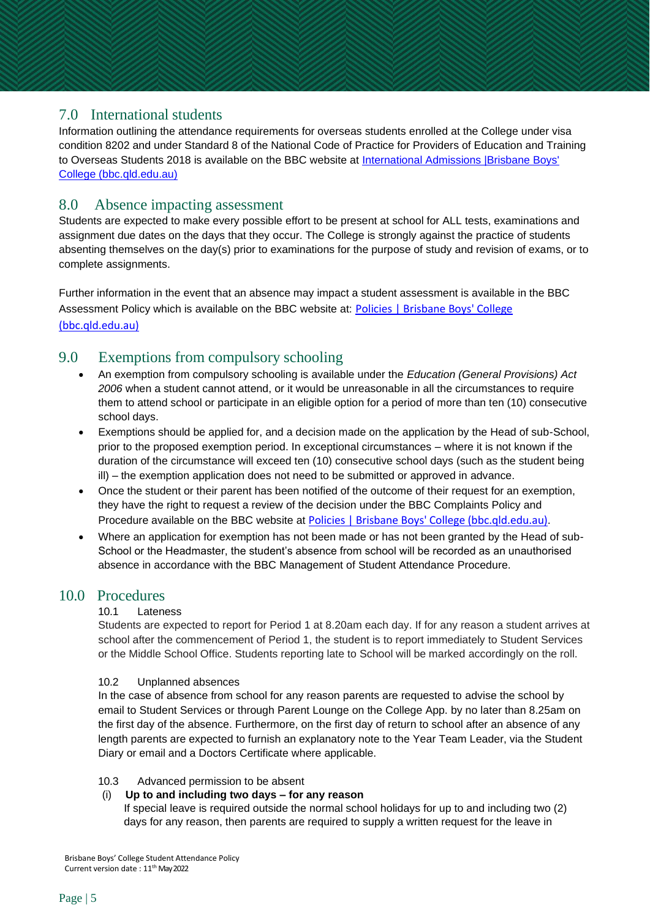## 7.0 International students

Information outlining the attendance requirements for overseas students enrolled at the College under visa condition 8202 and under Standard 8 of the National Code of Practice for Providers of Education and Training to Overseas Students 2018 is available on the BBC website at [International Admissions |Brisbane Boys'](https://www.bbc.qld.edu.au/join-us/international-admissions/) College [\(bbc.qld.edu.au\)](https://www.bbc.qld.edu.au/join-us/international-admissions/)

## 8.0 Absence impacting assessment

Students are expected to make every possible effort to be present at school for ALL tests, examinations and assignment due dates on the days that they occur. The College is strongly against the practice of students absenting themselves on the day(s) prior to examinations for the purpose of study and revision of exams, or to complete assignments.

Further information in the event that an absence may impact a student assessment is available in the BBC Assessment Policy which is available on the BBC website at: [Policies | Brisbane Boys' College](https://www.bbc.qld.edu.au/community/policies/)

[\(bbc.qld.edu.au\)](https://www.bbc.qld.edu.au/community/policies/)

# 9.0 Exemptions from compulsory schooling

- An exemption from compulsory schooling is available under the *Education (General Provisions) Act 2006* when a student cannot attend, or it would be unreasonable in all the circumstances to require them to attend school or participate in an eligible option for a period of more than ten (10) consecutive school days.
- Exemptions should be applied for, and a decision made on the application by the Head of sub-School, prior to the proposed exemption period. In exceptional circumstances – where it is not known if the duration of the circumstance will exceed ten (10) consecutive school days (such as the student being ill) – the exemption application does not need to be submitted or approved in advance.
- Once the student or their parent has been notified of the outcome of their request for an exemption, they have the right to request a review of the decision under the BBC Complaints Policy and Procedure available on the BBC website at Policies | Brisbane Boys' College [\(bbc.qld.edu.au\)](https://www.bbc.qld.edu.au/community/policies/).
- Where an application for exemption has not been made or has not been granted by the Head of sub-School or the Headmaster, the student's absence from school will be recorded as an unauthorised absence in accordance with the BBC Management of Student Attendance Procedure.

## 10.0 Procedures

#### 10.1 Lateness

Students are expected to report for Period 1 at 8.20am each day. If for any reason a student arrives at school after the commencement of Period 1, the student is to report immediately to Student Services or the Middle School Office. Students reporting late to School will be marked accordingly on the roll.

#### 10.2 Unplanned absences

In the case of absence from school for any reason parents are requested to advise the school by email to Student Services or through Parent Lounge on the College App. by no later than 8.25am on the first day of the absence. Furthermore, on the first day of return to school after an absence of any length parents are expected to furnish an explanatory note to the Year Team Leader, via the Student Diary or email and a Doctors Certificate where applicable.

#### 10.3 Advanced permission to be absent

#### (i) **Up to and including two days – for any reason**

If special leave is required outside the normal school holidays for up to and including two (2) days for any reason, then parents are required to supply a written request for the leave in

Brisbane Boys' College Student Attendance Policy Current version date : 11 th May 2022